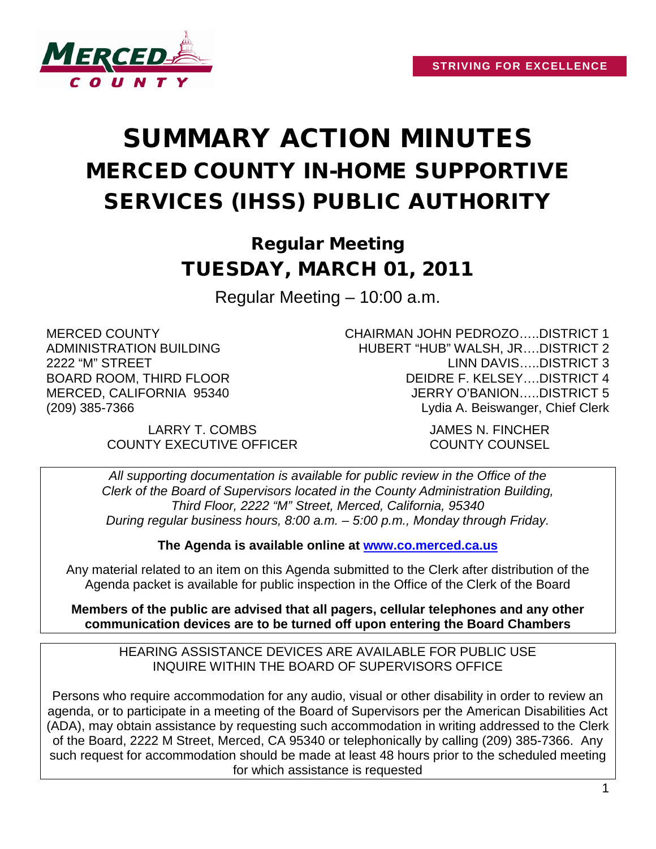

# SUMMARY ACTION MINUTES MERCED COUNTY IN-HOME SUPPORTIVE SERVICES (IHSS) PUBLIC AUTHORITY

# Regular Meeting TUESDAY, MARCH 01, 2011

Regular Meeting – 10:00 a.m.

MERCED COUNTY ADMINISTRATION BUILDING 2222 "M" STREET BOARD ROOM, THIRD FLOOR MERCED, CALIFORNIA 95340 (209) 385-7366

> LARRY T. COMBS JAMES N. FINCHER COUNTY EXECUTIVE OFFICER COUNTY COUNSEL

CHAIRMAN JOHN PEDROZO…..DISTRICT 1 HUBERT "HUB" WALSH, JR….DISTRICT 2 LINN DAVIS…..DISTRICT 3 DEIDRE F. KELSEY….DISTRICT 4 JERRY O'BANION…..DISTRICT 5 Lydia A. Beiswanger, Chief Clerk

*All supporting documentation is available for public review in the Office of the Clerk of the Board of Supervisors located in the County Administration Building, Third Floor, 2222 "M" Street, Merced, California, 95340 During regular business hours, 8:00 a.m. – 5:00 p.m., Monday through Friday.*

**The Agenda is available online at [www.co.merced.ca.us](http://www.co.merced.ca.us/)**

Any material related to an item on this Agenda submitted to the Clerk after distribution of the Agenda packet is available for public inspection in the Office of the Clerk of the Board

**Members of the public are advised that all pagers, cellular telephones and any other communication devices are to be turned off upon entering the Board Chambers**

HEARING ASSISTANCE DEVICES ARE AVAILABLE FOR PUBLIC USE INQUIRE WITHIN THE BOARD OF SUPERVISORS OFFICE

Persons who require accommodation for any audio, visual or other disability in order to review an agenda, or to participate in a meeting of the Board of Supervisors per the American Disabilities Act (ADA), may obtain assistance by requesting such accommodation in writing addressed to the Clerk of the Board, 2222 M Street, Merced, CA 95340 or telephonically by calling (209) 385-7366. Any such request for accommodation should be made at least 48 hours prior to the scheduled meeting for which assistance is requested